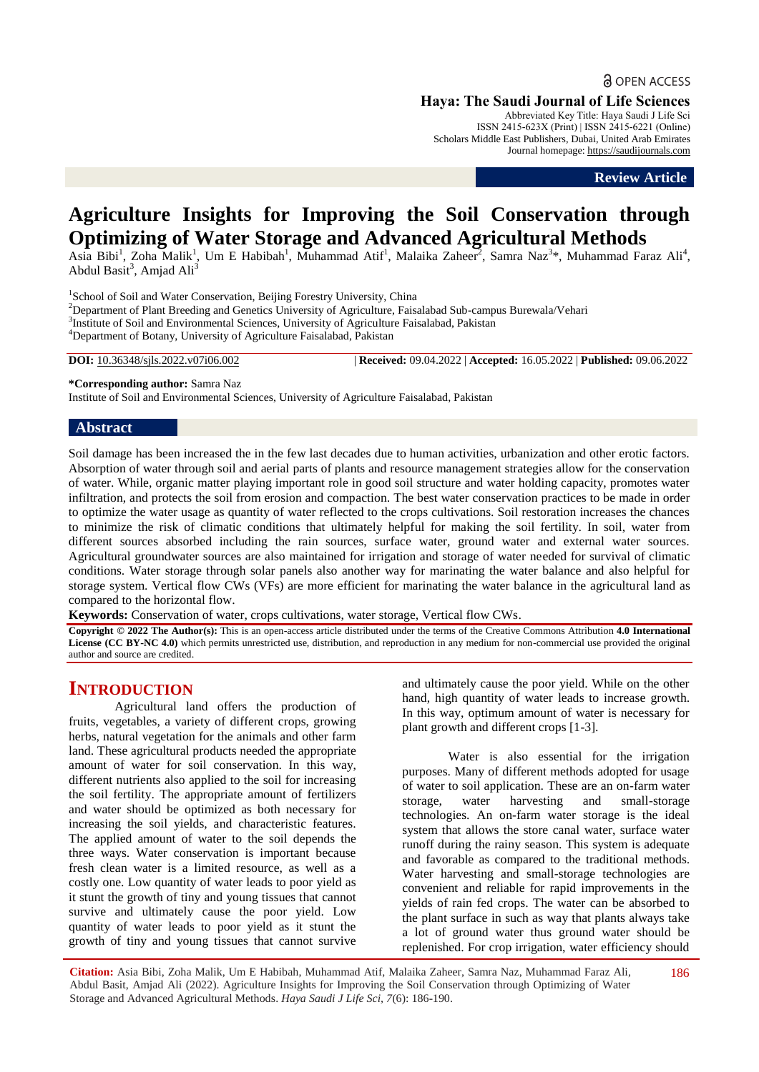**a** OPEN ACCESS

**Haya: The Saudi Journal of Life Sciences**

Abbreviated Key Title: Haya Saudi J Life Sci ISSN 2415-623X (Print) | ISSN 2415-6221 (Online) Scholars Middle East Publishers, Dubai, United Arab Emirates Journal homepage: [https://saudijournals.com](https://saudijournals.com/sjls)

**Review Article**

# **Agriculture Insights for Improving the Soil Conservation through Optimizing of Water Storage and Advanced Agricultural Methods**

Asia Bibi<sup>1</sup>, Zoha Malik<sup>1</sup>, Um E Habibah<sup>1</sup>, Muhammad Atif<sup>1</sup>, Malaika Zaheer<sup>2</sup>, Samra Naz<sup>3\*</sup>, Muhammad Faraz Ali<sup>4</sup>, Abdul Basit<sup>3</sup>, Amjad Ali<sup>3</sup>

<sup>1</sup>School of Soil and Water Conservation, Beijing Forestry University, China <sup>2</sup>Department of Plant Breeding and Genetics University of Agriculture, Faisalabad Sub-campus Burewala/Vehari <sup>3</sup>Institute of Soil and Environmental Sciences, University of Agriculture Faisalabad, Pakistan <sup>4</sup>Department of Botany, University of Agriculture Faisalabad, Pakistan

**DOI:** 10.36348/sjls.2022.v07i06.002 | **Received:** 09.04.2022 | **Accepted:** 16.05.2022 | **Published:** 09.06.2022

**\*Corresponding author:** Samra Naz

Institute of Soil and Environmental Sciences, University of Agriculture Faisalabad, Pakistan

## **Abstract**

Soil damage has been increased the in the few last decades due to human activities, urbanization and other erotic factors. Absorption of water through soil and aerial parts of plants and resource management strategies allow for the conservation of water. While, organic matter playing important role in good soil structure and water holding capacity, promotes water infiltration, and protects the soil from erosion and compaction. The best water conservation practices to be made in order to optimize the water usage as quantity of water reflected to the crops cultivations. Soil restoration increases the chances to minimize the risk of climatic conditions that ultimately helpful for making the soil fertility. In soil, water from different sources absorbed including the rain sources, surface water, ground water and external water sources. Agricultural groundwater sources are also maintained for irrigation and storage of water needed for survival of climatic conditions. Water storage through solar panels also another way for marinating the water balance and also helpful for storage system. Vertical flow CWs (VFs) are more efficient for marinating the water balance in the agricultural land as compared to the horizontal flow.

**Keywords:** Conservation of water, crops cultivations, water storage, Vertical flow CWs.

**Copyright © 2022 The Author(s):** This is an open-access article distributed under the terms of the Creative Commons Attribution **4.0 International License (CC BY-NC 4.0)** which permits unrestricted use, distribution, and reproduction in any medium for non-commercial use provided the original author and source are credited.

# **INTRODUCTION**

Agricultural land offers the production of fruits, vegetables, a variety of different crops, growing herbs, natural vegetation for the animals and other farm land. These agricultural products needed the appropriate amount of water for soil conservation. In this way, different nutrients also applied to the soil for increasing the soil fertility. The appropriate amount of fertilizers and water should be optimized as both necessary for increasing the soil yields, and characteristic features. The applied amount of water to the soil depends the three ways. Water conservation is important because fresh clean water is a limited resource, as well as a costly one. Low quantity of water leads to poor yield as it stunt the growth of tiny and young tissues that cannot survive and ultimately cause the poor yield. Low quantity of water leads to poor yield as it stunt the growth of tiny and young tissues that cannot survive

and ultimately cause the poor yield. While on the other hand, high quantity of water leads to increase growth. In this way, optimum amount of water is necessary for plant growth and different crops [1-3].

Water is also essential for the irrigation purposes. Many of different methods adopted for usage of water to soil application. These are an on-farm water storage, water harvesting and small-storage technologies. An on-farm water storage is the ideal system that allows the store canal water, surface water runoff during the rainy season. This system is adequate and favorable as compared to the traditional methods. Water harvesting and small-storage technologies are convenient and reliable for rapid improvements in the yields of rain fed crops. The water can be absorbed to the plant surface in such as way that plants always take a lot of ground water thus ground water should be replenished. For crop irrigation, water efficiency should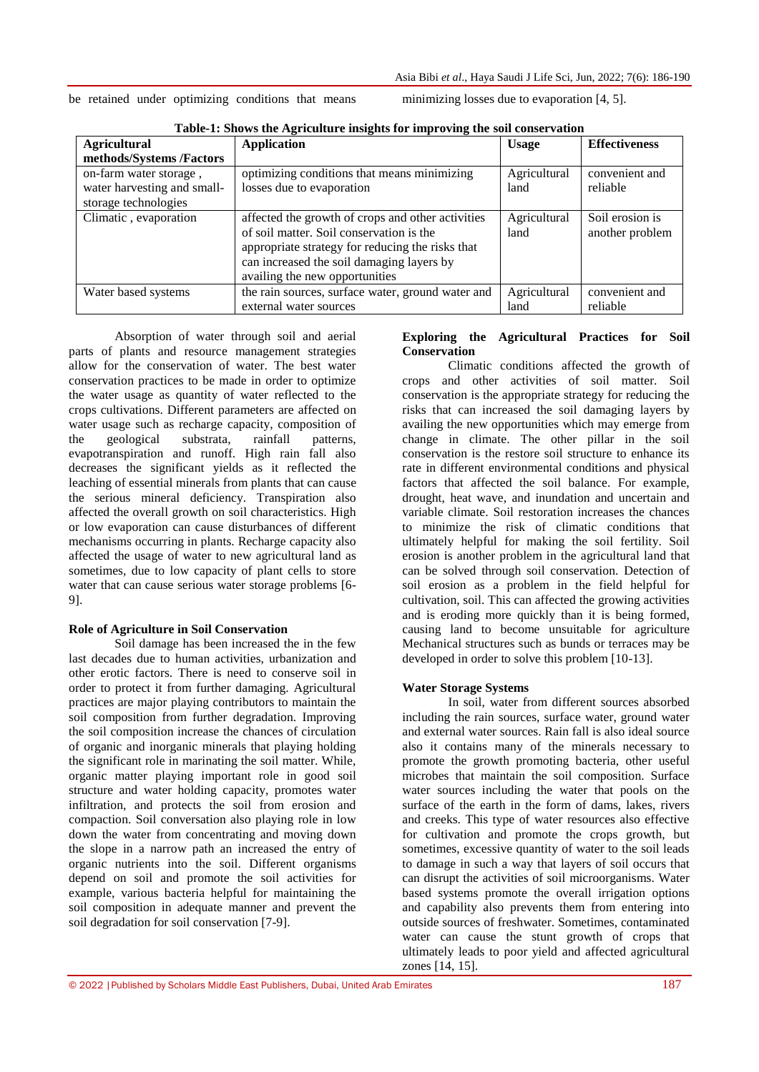|  |  |  |  | be retained under optimizing conditions that means |  |  |  |
|--|--|--|--|----------------------------------------------------|--|--|--|
|--|--|--|--|----------------------------------------------------|--|--|--|

minimizing losses due to evaporation  $[4, 5]$ .

| <b>Agricultural</b>         | <b>Application</b>                                | <b>Usage</b> | <b>Effectiveness</b> |
|-----------------------------|---------------------------------------------------|--------------|----------------------|
| methods/Systems /Factors    |                                                   |              |                      |
| on-farm water storage,      | optimizing conditions that means minimizing       | Agricultural | convenient and       |
| water harvesting and small- | losses due to evaporation                         | land         | reliable             |
| storage technologies        |                                                   |              |                      |
| Climatic, evaporation       | affected the growth of crops and other activities | Agricultural | Soil erosion is      |
|                             | of soil matter. Soil conservation is the          | land         | another problem      |
|                             | appropriate strategy for reducing the risks that  |              |                      |
|                             | can increased the soil damaging layers by         |              |                      |
|                             | availing the new opportunities                    |              |                      |
| Water based systems         | the rain sources, surface water, ground water and | Agricultural | convenient and       |
|                             | external water sources                            | land         | reliable             |

**Table-1: Shows the Agriculture insights for improving the soil conservation**

Absorption of water through soil and aerial parts of plants and resource management strategies allow for the conservation of water. The best water conservation practices to be made in order to optimize the water usage as quantity of water reflected to the crops cultivations. Different parameters are affected on water usage such as recharge capacity, composition of the geological substrata, rainfall patterns, evapotranspiration and runoff. High rain fall also decreases the significant yields as it reflected the leaching of essential minerals from plants that can cause the serious mineral deficiency. Transpiration also affected the overall growth on soil characteristics. High or low evaporation can cause disturbances of different mechanisms occurring in plants. Recharge capacity also affected the usage of water to new agricultural land as sometimes, due to low capacity of plant cells to store water that can cause serious water storage problems [6- 9].

## **Role of Agriculture in Soil Conservation**

Soil damage has been increased the in the few last decades due to human activities, urbanization and other erotic factors. There is need to conserve soil in order to protect it from further damaging. Agricultural practices are major playing contributors to maintain the soil composition from further degradation. Improving the soil composition increase the chances of circulation of organic and inorganic minerals that playing holding the significant role in marinating the soil matter. While, organic matter playing important role in good soil structure and water holding capacity, promotes water infiltration, and protects the soil from erosion and compaction. Soil conversation also playing role in low down the water from concentrating and moving down the slope in a narrow path an increased the entry of organic nutrients into the soil. Different organisms depend on soil and promote the soil activities for example, various bacteria helpful for maintaining the soil composition in adequate manner and prevent the soil degradation for soil conservation [7-9].

# **Exploring the Agricultural Practices for Soil Conservation**

Climatic conditions affected the growth of crops and other activities of soil matter. Soil conservation is the appropriate strategy for reducing the risks that can increased the soil damaging layers by availing the new opportunities which may emerge from change in climate. The other pillar in the soil conservation is the restore soil structure to enhance its rate in different environmental conditions and physical factors that affected the soil balance. For example, drought, heat wave, and inundation and uncertain and variable climate. Soil restoration increases the chances to minimize the risk of climatic conditions that ultimately helpful for making the soil fertility. Soil erosion is another problem in the agricultural land that can be solved through soil conservation. Detection of soil erosion as a problem in the field helpful for cultivation, soil. This can affected the growing activities and is eroding more quickly than it is being formed, causing land to become unsuitable for agriculture Mechanical structures such as bunds or terraces may be developed in order to solve this problem [10-13].

# **Water Storage Systems**

In soil, water from different sources absorbed including the rain sources, surface water, ground water and external water sources. Rain fall is also ideal source also it contains many of the minerals necessary to promote the growth promoting bacteria, other useful microbes that maintain the soil composition. Surface water sources including the water that pools on the surface of the earth in the form of dams, lakes, rivers and creeks. This type of water resources also effective for cultivation and promote the crops growth, but sometimes, excessive quantity of water to the soil leads to damage in such a way that layers of soil occurs that can disrupt the activities of soil microorganisms. Water based systems promote the overall irrigation options and capability also prevents them from entering into outside sources of freshwater. Sometimes, contaminated water can cause the stunt growth of crops that ultimately leads to poor yield and affected agricultural zones [14, 15].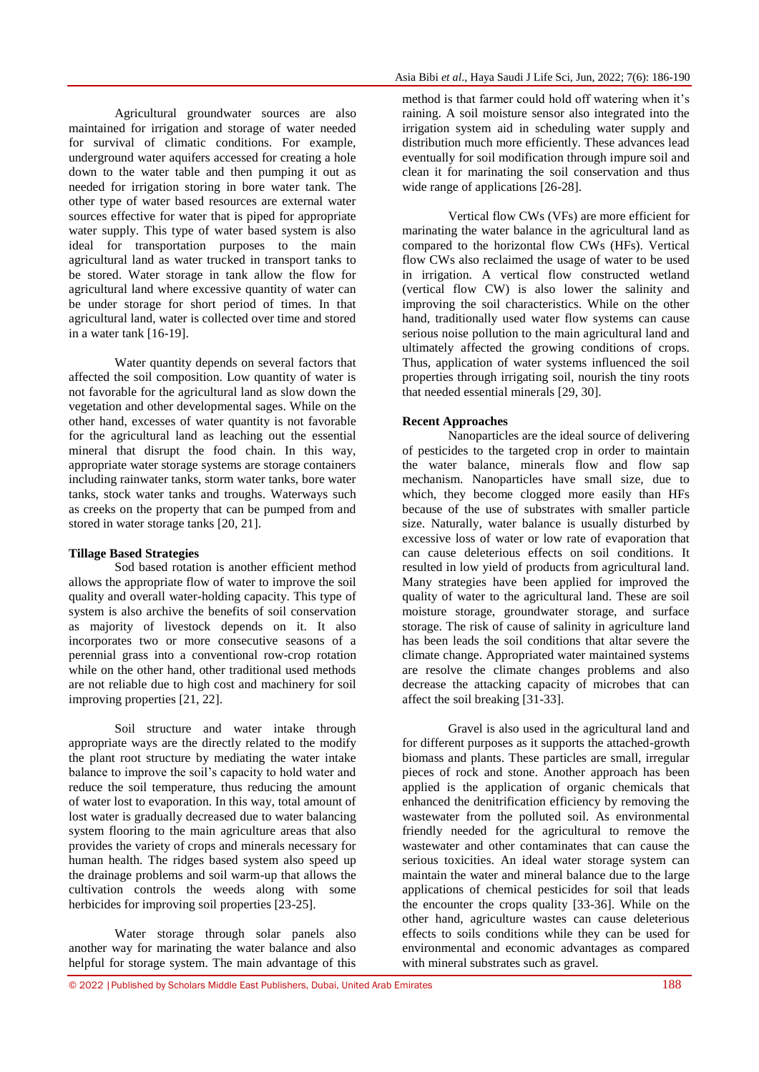Agricultural groundwater sources are also maintained for irrigation and storage of water needed for survival of climatic conditions. For example, underground water aquifers accessed for creating a hole down to the water table and then pumping it out as needed for irrigation storing in bore water tank. The other type of water based resources are external water sources effective for water that is piped for appropriate water supply. This type of water based system is also ideal for transportation purposes to the main agricultural land as water trucked in transport tanks to be stored. Water storage in tank allow the flow for agricultural land where excessive quantity of water can be under storage for short period of times. In that agricultural land, water is collected over time and stored in a water tank [16-19].

Water quantity depends on several factors that affected the soil composition. Low quantity of water is not favorable for the agricultural land as slow down the vegetation and other developmental sages. While on the other hand, excesses of water quantity is not favorable for the agricultural land as leaching out the essential mineral that disrupt the food chain. In this way, appropriate water storage systems are storage containers including rainwater tanks, storm water tanks, bore water tanks, stock water tanks and troughs. Waterways such as creeks on the property that can be pumped from and stored in water storage tanks [20, 21].

## **Tillage Based Strategies**

Sod based rotation is another efficient method allows the appropriate flow of water to improve the soil quality and overall water-holding capacity. This type of system is also archive the benefits of soil conservation as majority of livestock depends on it. It also incorporates two or more consecutive seasons of a perennial grass into a conventional row-crop rotation while on the other hand, other traditional used methods are not reliable due to high cost and machinery for soil improving properties [21, 22].

Soil structure and water intake through appropriate ways are the directly related to the modify the plant root structure by mediating the water intake balance to improve the soil's capacity to hold water and reduce the soil temperature, thus reducing the amount of water lost to evaporation. In this way, total amount of lost water is gradually decreased due to water balancing system flooring to the main agriculture areas that also provides the variety of crops and minerals necessary for human health. The ridges based system also speed up the drainage problems and soil warm-up that allows the cultivation controls the weeds along with some herbicides for improving soil properties [23-25].

Water storage through solar panels also another way for marinating the water balance and also helpful for storage system. The main advantage of this

method is that farmer could hold off watering when it's raining. A soil moisture sensor also integrated into the irrigation system aid in scheduling water supply and distribution much more efficiently. These advances lead eventually for soil modification through impure soil and clean it for marinating the soil conservation and thus wide range of applications [26-28].

Vertical flow CWs (VFs) are more efficient for marinating the water balance in the agricultural land as compared to the horizontal flow CWs (HFs). Vertical flow CWs also reclaimed the usage of water to be used in irrigation. A vertical flow constructed wetland (vertical flow CW) is also lower the salinity and improving the soil characteristics. While on the other hand, traditionally used water flow systems can cause serious noise pollution to the main agricultural land and ultimately affected the growing conditions of crops. Thus, application of water systems influenced the soil properties through irrigating soil, nourish the tiny roots that needed essential minerals [29, 30].

#### **Recent Approaches**

Nanoparticles are the ideal source of delivering of pesticides to the targeted crop in order to maintain the water balance, minerals flow and flow sap mechanism. Nanoparticles have small size, due to which, they become clogged more easily than HFs because of the use of substrates with smaller particle size. Naturally, water balance is usually disturbed by excessive loss of water or low rate of evaporation that can cause deleterious effects on soil conditions. It resulted in low yield of products from agricultural land. Many strategies have been applied for improved the quality of water to the agricultural land. These are soil moisture storage, groundwater storage, and surface storage. The risk of cause of salinity in agriculture land has been leads the soil conditions that altar severe the climate change. Appropriated water maintained systems are resolve the climate changes problems and also decrease the attacking capacity of microbes that can affect the soil breaking [31-33].

Gravel is also used in the agricultural land and for different purposes as it supports the attached-growth biomass and plants. These particles are small, irregular pieces of rock and stone. Another approach has been applied is the application of organic chemicals that enhanced the denitrification efficiency by removing the wastewater from the polluted soil. As environmental friendly needed for the agricultural to remove the wastewater and other contaminates that can cause the serious toxicities. An ideal water storage system can maintain the water and mineral balance due to the large applications of chemical pesticides for soil that leads the encounter the crops quality [33-36]. While on the other hand, agriculture wastes can cause deleterious effects to soils conditions while they can be used for environmental and economic advantages as compared with mineral substrates such as gravel.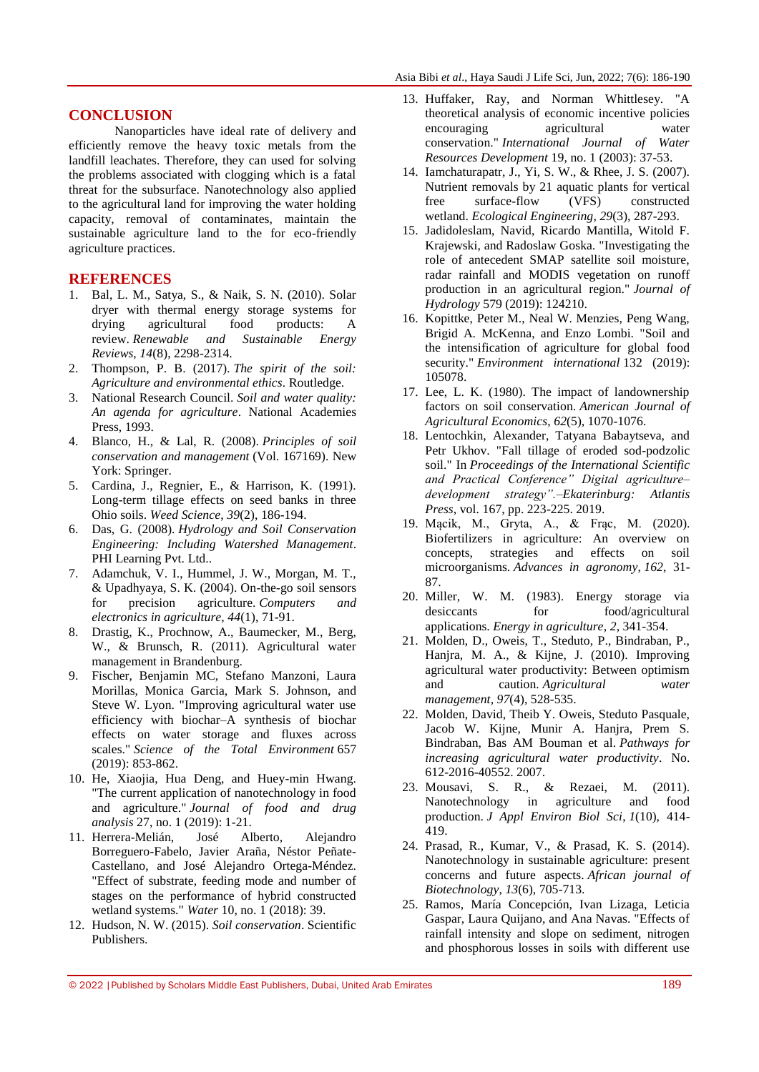#### **CONCLUSION**

Nanoparticles have ideal rate of delivery and efficiently remove the heavy toxic metals from the landfill leachates. Therefore, they can used for solving the problems associated with clogging which is a fatal threat for the subsurface. Nanotechnology also applied to the agricultural land for improving the water holding capacity, removal of contaminates, maintain the sustainable agriculture land to the for eco-friendly agriculture practices.

## **REFERENCES**

- 1. Bal, L. M., Satya, S., & Naik, S. N. (2010). Solar dryer with thermal energy storage systems for drying agricultural food products: A review. *Renewable and Sustainable Energy Reviews*, *14*(8), 2298-2314.
- 2. Thompson, P. B. (2017). *The spirit of the soil: Agriculture and environmental ethics*. Routledge.
- 3. National Research Council. *Soil and water quality: An agenda for agriculture*. National Academies Press, 1993.
- 4. Blanco, H., & Lal, R. (2008). *Principles of soil conservation and management* (Vol. 167169). New York: Springer.
- 5. Cardina, J., Regnier, E., & Harrison, K. (1991). Long-term tillage effects on seed banks in three Ohio soils. *Weed Science*, *39*(2), 186-194.
- 6. Das, G. (2008). *Hydrology and Soil Conservation Engineering: Including Watershed Management*. PHI Learning Pvt. Ltd..
- 7. Adamchuk, V. I., Hummel, J. W., Morgan, M. T., & Upadhyaya, S. K. (2004). On-the-go soil sensors for precision agriculture. *Computers and electronics in agriculture*, *44*(1), 71-91.
- 8. Drastig, K., Prochnow, A., Baumecker, M., Berg, W., & Brunsch, R. (2011). Agricultural water management in Brandenburg.
- 9. Fischer, Benjamin MC, Stefano Manzoni, Laura Morillas, Monica Garcia, Mark S. Johnson, and Steve W. Lyon. "Improving agricultural water use efficiency with biochar–A synthesis of biochar effects on water storage and fluxes across scales." *Science of the Total Environment* 657 (2019): 853-862.
- 10. He, Xiaojia, Hua Deng, and Huey-min Hwang. "The current application of nanotechnology in food and agriculture." *Journal of food and drug analysis* 27, no. 1 (2019): 1-21.
- 11. Herrera-Melián, José Alberto, Alejandro Borreguero-Fabelo, Javier Araña, Néstor Peñate-Castellano, and José Alejandro Ortega-Méndez. "Effect of substrate, feeding mode and number of stages on the performance of hybrid constructed wetland systems." *Water* 10, no. 1 (2018): 39.
- 12. Hudson, N. W. (2015). *Soil conservation*. Scientific Publishers.
- 13. Huffaker, Ray, and Norman Whittlesey. "A theoretical analysis of economic incentive policies encouraging agricultural water conservation." *International Journal of Water Resources Development* 19, no. 1 (2003): 37-53.
- 14. Iamchaturapatr, J., Yi, S. W., & Rhee, J. S. (2007). Nutrient removals by 21 aquatic plants for vertical free surface-flow (VFS) constructed wetland. *Ecological Engineering*, *29*(3), 287-293.
- 15. Jadidoleslam, Navid, Ricardo Mantilla, Witold F. Krajewski, and Radoslaw Goska. "Investigating the role of antecedent SMAP satellite soil moisture, radar rainfall and MODIS vegetation on runoff production in an agricultural region." *Journal of Hydrology* 579 (2019): 124210.
- 16. Kopittke, Peter M., Neal W. Menzies, Peng Wang, Brigid A. McKenna, and Enzo Lombi. "Soil and the intensification of agriculture for global food security." *Environment international* 132 (2019): 105078.
- 17. Lee, L. K. (1980). The impact of landownership factors on soil conservation. *American Journal of Agricultural Economics*, *62*(5), 1070-1076.
- 18. Lentochkin, Alexander, Tatyana Babaytseva, and Petr Ukhov. "Fall tillage of eroded sod-podzolic soil." In *Proceedings of the International Scientific and Practical Conference" Digital agriculture– development strategy".–Ekaterinburg: Atlantis Press*, vol. 167, pp. 223-225. 2019.
- 19. Mącik, M., Gryta, A., & Frąc, M. (2020). Biofertilizers in agriculture: An overview on concepts, strategies and effects on soil microorganisms. *Advances in agronomy*, *162*, 31- 87.
- 20. Miller, W. M. (1983). Energy storage via desiccants for food/agricultural applications. *Energy in agriculture*, *2*, 341-354.
- 21. Molden, D., Oweis, T., Steduto, P., Bindraban, P., Hanjra, M. A., & Kijne, J. (2010). Improving agricultural water productivity: Between optimism and caution. *Agricultural water management*, *97*(4), 528-535.
- 22. Molden, David, Theib Y. Oweis, Steduto Pasquale, Jacob W. Kijne, Munir A. Hanjra, Prem S. Bindraban, Bas AM Bouman et al. *Pathways for increasing agricultural water productivity*. No. 612-2016-40552. 2007.
- 23. Mousavi, S. R., & Rezaei, M. (2011). Nanotechnology in agriculture and food production. *J Appl Environ Biol Sci*, *1*(10), 414- 419.
- 24. Prasad, R., Kumar, V., & Prasad, K. S. (2014). Nanotechnology in sustainable agriculture: present concerns and future aspects. *African journal of Biotechnology*, *13*(6), 705-713.
- 25. Ramos, María Concepción, Ivan Lizaga, Leticia Gaspar, Laura Quijano, and Ana Navas. "Effects of rainfall intensity and slope on sediment, nitrogen and phosphorous losses in soils with different use

<sup>© 2022</sup> |Published by Scholars Middle East Publishers, Dubai, United Arab Emirates 189